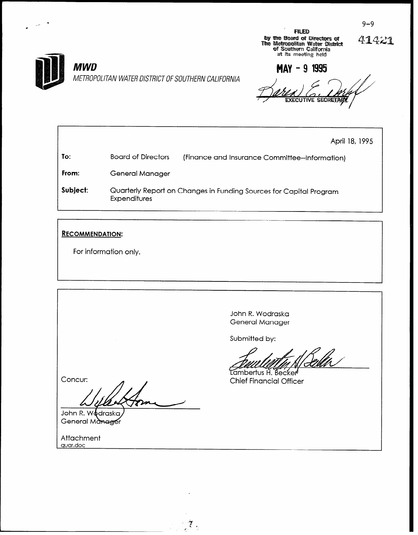

# **MWD**

METROPOLITAN WATER DISTRICT OF SOUTHERN CALIFORNIA

**FILED** by the Board of Directors of<br>The Metropolitan Water District<br>of Southern California<br>at its meeting held

41421

MAY - 9 1995

April 18, 1995 To: **Board of Directors** (Finance and Insurance Committee-Information) From: **General Manager** Subject: Quarterly Report on Changes in Funding Sources for Capital Program **Expenditures** 

्रैं ।

### **RECOMMENDATION:**

For information only.

John R. Wodraska General Manager

Submitted by:

rffin'

Lambertus H. Becker **Chief Financial Officer** 

Concur:

John R. Wodraska General Manager

Attachment quar.doc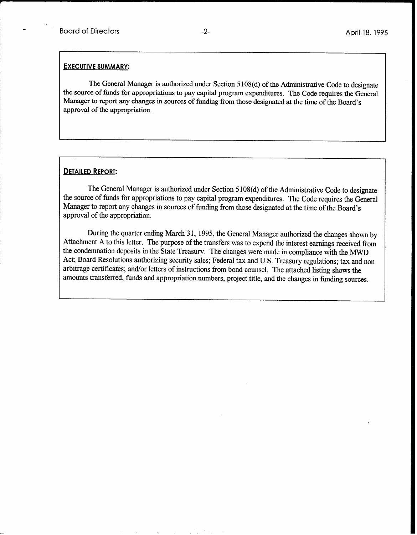#### EXECUTIVE SUMMARY:

The General Manager is authorized under Section 5 108(d) of the Administrative Code to designate the source of funds for appropriations to pay capital program expenditures. The Code requires the General Manager to report any changes in sources of funding from those designated at the time of the Board's approval of the appropriation.

#### DETAILED REPORT:

The General Manager is authorized under Section 5 108(d) of the Administrative Code to designate the source of funds for appropriations to pay capital program expenditures. The Code requires the General Manager to report any changes in sources of funding from those designated at the time of the Board's approval of the appropriation.

During the quarter ending March 31, 1995, the General Manager authorized the changes shown by Attachment A to this letter. The purpose of the transfers was to expend the interest earnings received from the condemnation deposits in the State Treasury. The changes were made in compliance with the MWD Act; Board Resolutions authorizing security sales; Federal tax and U.S. Treasury regulations; tax and non arbitrage certificates; and/or letters of instructions from bond counsel. The attached listing shows the amounts transferred, funds and appropriation numbers, project title, and the changes in funding sources.